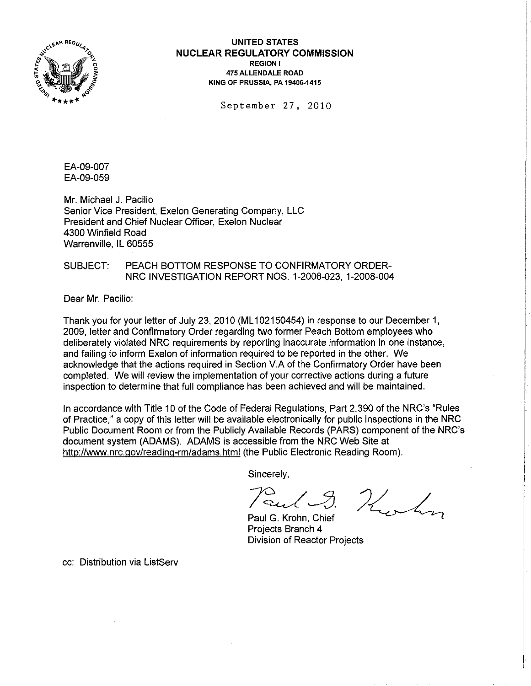

**UNITED STATES NUCLEAR REGULATORY COMMISSION**  REGION I 475 ALLENDALE ROAD KING OF PRUSSIA, PA 19406-1415

September 27, 2010

EA-09-007 EA-09-059

Mr. Michael J. Pacilio Senior Vice President, Exelon Generating Company, LLC President and Chief Nuclear Officer, Exelon Nuclear 4300 Winfield Road Warrenville, IL 60555

SUBJECT: PEACH BOTTOM RESPONSE TO CONFIRMATORY ORDER-NRC INVESTIGATION REPORT NOS. 1-2008-023, 1-2008-004

Dear Mr. Pacilio:

Thank you for your letter of July 23,2010 (ML 102150454) in response to our December 1, 2009, letter and Confirmatory Order regarding two former Peach Bottom employees who deliberately violated NRC requirements by reporting inaccurate information in one instance, and failing to inform Exelon of information required to be reported in the other. We acknowledge that the actions required in Section V.A of the Confirmatory Order have been completed. We will review the implementation of your corrective actions during a future inspection to determine that full compliance has been achieved and will be maintained.

In accordance with Title 10 of the Code of Federal Regulations, Part 2.390 of the NRC's "Rules of Practice," a copy of this letter will be available electronically for public inspections in the NRC Public Document Room or from the Publicly Available Records (PARS) component of the NRC's document system (ADAMS). ADAMS is accessible from the NRC Web Site at http://www.nrc.gov/reading-rm/adams.html(the Public Electronic Reading Room).

Sincerely,

Paul 9. Hurlin

Projects Branch 4 Division of Reactor Projects

cc: Distribution via ListServ